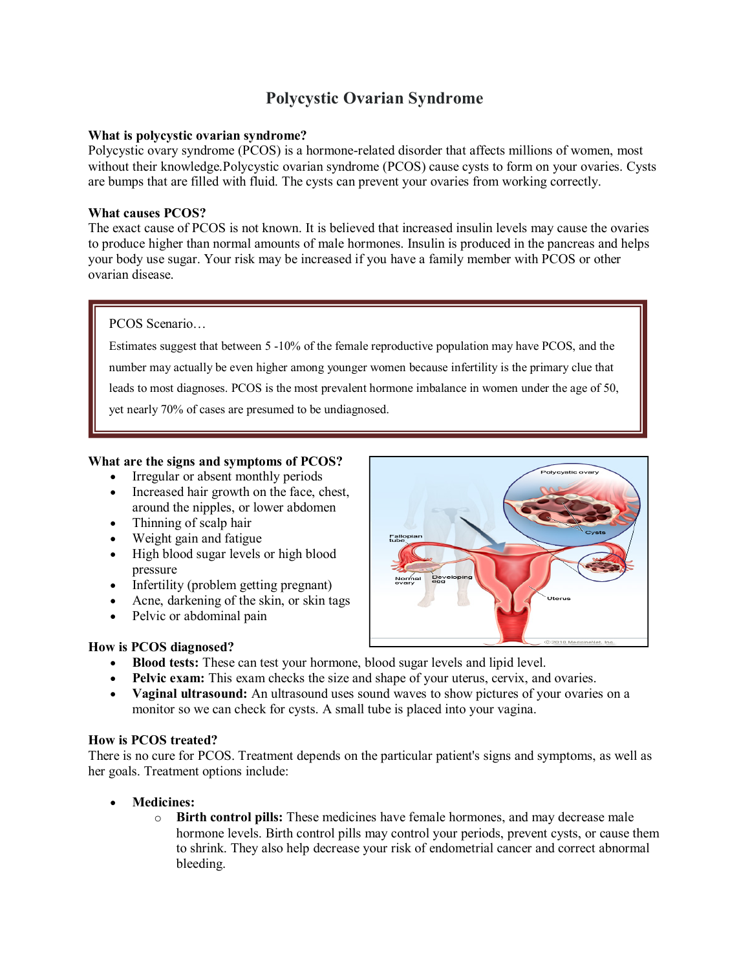# **Polycystic Ovarian Syndrome**

## **What is polycystic ovarian syndrome?**

Polycystic ovary syndrome (PCOS) is a hormone-related disorder that affects millions of women, most without their knowledge.Polycystic ovarian syndrome (PCOS) cause cysts to form on your ovaries. Cysts are bumps that are filled with fluid. The cysts can prevent your ovaries from working correctly.

## **What causes PCOS?**

The exact cause of PCOS is not known. It is believed that increased insulin levels may cause the ovaries to produce higher than normal amounts of male hormones. Insulin is produced in the pancreas and helps your body use sugar. Your risk may be increased if you have a family member with PCOS or other ovarian disease.

#### PCOS Scenario…

Estimates suggest that between 5 -10% of the female reproductive population may have PCOS, and the number may actually be even higher among younger women because infertility is the primary clue that leads to most diagnoses. PCOS is the most prevalent hormone imbalance in women under the age of 50, yet nearly 70% of cases are presumed to be undiagnosed.

## **What are the signs and symptoms of PCOS?**

- Irregular or absent monthly periods
- Increased hair growth on the face, chest, around the nipples, or lower abdomen
- Thinning of scalp hair
- Weight gain and fatigue
- High blood sugar levels or high blood pressure
- Infertility (problem getting pregnant)
- Acne, darkening of the skin, or skin tags
- Pelvic or abdominal pain

# **How is PCOS diagnosed?**

- **Blood tests:** These can test your hormone, blood sugar levels and lipid level.
- **Pelvic exam:** This exam checks the size and shape of your uterus, cervix, and ovaries.
- **Vaginal ultrasound:** An ultrasound uses sound waves to show pictures of your ovaries on a monitor so we can check for cysts. A small tube is placed into your vagina.

#### **How is PCOS treated?**

There is no cure for PCOS. Treatment depends on the particular patient's signs and symptoms, as well as her goals. Treatment options include:

- **Medicines:**
	- o **Birth control pills:** These medicines have female hormones, and may decrease male hormone levels. Birth control pills may control your periods, prevent cysts, or cause them to shrink. They also help decrease your risk of endometrial cancer and correct abnormal bleeding.